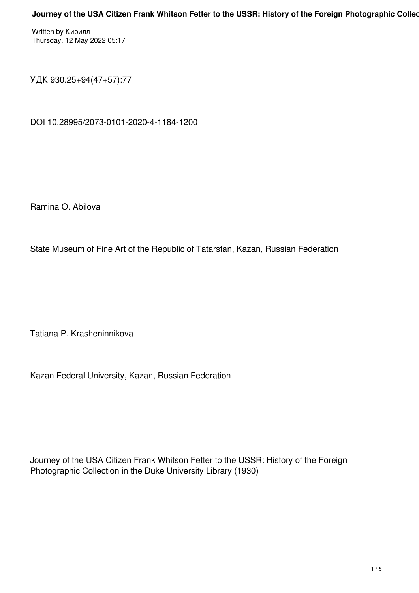Written by Кирилл Thursday, 12 May 2022 05:17

УДК 930.25+94(47+57):77

DOI 10.28995/2073-0101-2020-4-1184-1200

Ramina O. Abilova

State Museum of Fine Art of the Republic of Tatarstan, Kazan, Russian Federation

Tatiana P. Krasheninnikova

Kazan Federal University, Kazan, Russian Federation

Journey of the USA Citizen Frank Whitson Fetter to the USSR: History of the Foreign Photographic Collection in the Duke University Library (1930)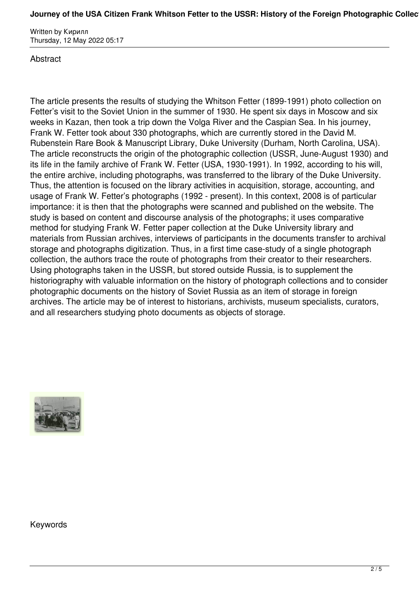## Journey of the USA Citizen Frank Whitson Fetter to the USSR: History of the Foreign Photographic Collec

Written by Кирилл Thursday, 12 May 2022 05:17

## **Abstract**

The article presents the results of studying the Whitson Fetter (1899-1991) photo collection on Fetter's visit to the Soviet Union in the summer of 1930. He spent six days in Moscow and six weeks in Kazan, then took a trip down the Volga River and the Caspian Sea. In his journey, Frank W. Fetter took about 330 photographs, which are currently stored in the David M. Rubenstein Rare Book & Manuscript Library, Duke University (Durham, North Carolina, USA). The article reconstructs the origin of the photographic collection (USSR, June-August 1930) and its life in the family archive of Frank W. Fetter (USA, 1930-1991). In 1992, according to his will, the entire archive, including photographs, was transferred to the library of the Duke University. Thus, the attention is focused on the library activities in acquisition, storage, accounting, and usage of Frank W. Fetter's photographs (1992 - present). In this context, 2008 is of particular importance: it is then that the photographs were scanned and published on the website. The study is based on content and discourse analysis of the photographs; it uses comparative method for studying Frank W. Fetter paper collection at the Duke University library and materials from Russian archives, interviews of participants in the documents transfer to archival storage and photographs digitization. Thus, in a first time case-study of a single photograph collection, the authors trace the route of photographs from their creator to their researchers. Using photographs taken in the USSR, but stored outside Russia, is to supplement the historiography with valuable information on the history of photograph collections and to consider photographic documents on the history of Soviet Russia as an item of storage in foreign archives. The article may be of interest to historians, archivists, museum specialists, curators, and all researchers studying photo documents as objects of storage.



Keywords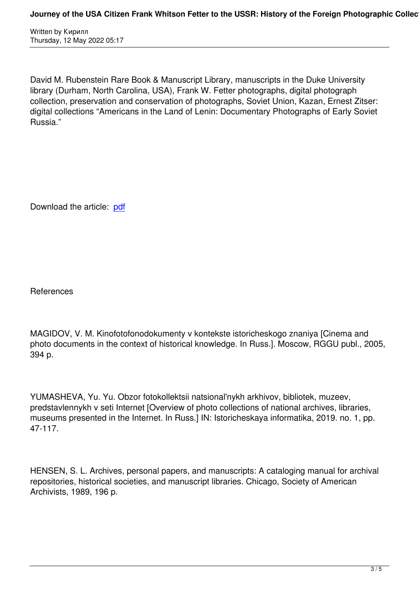David M. Rubenstein Rare Book & Manuscript Library, manuscripts in the Duke University library (Durham, North Carolina, USA), Frank W. Fetter photographs, digital photograph collection, preservation and conservation of photographs, Soviet Union, Kazan, Ernest Zitser: digital collections "Americans in the Land of Lenin: Documentary Photographs of Early Soviet Russia."

Download the article: pdf

**References** 

MAGIDOV, V. M. Kinofotofonodokumenty v kontekste istoricheskogo znaniya [Cinema and photo documents in the context of historical knowledge. In Russ.]. Moscow, RGGU publ., 2005, 394 p.

YUMASHEVA, Yu. Yu. Obzor fotokollektsii natsional'nykh arkhivov, bibliotek, muzeev, predstavlennykh v seti Internet [Overview of photo collections of national archives, libraries, museums presented in the Internet. In Russ.] IN: Istoricheskaya informatika, 2019. no. 1, pp. 47-117.

HENSEN, S. L. Archives, personal papers, and manuscripts: A cataloging manual for archival repositories, historical societies, and manuscript libraries. Chicago, Society of American Archivists, 1989, 196 p.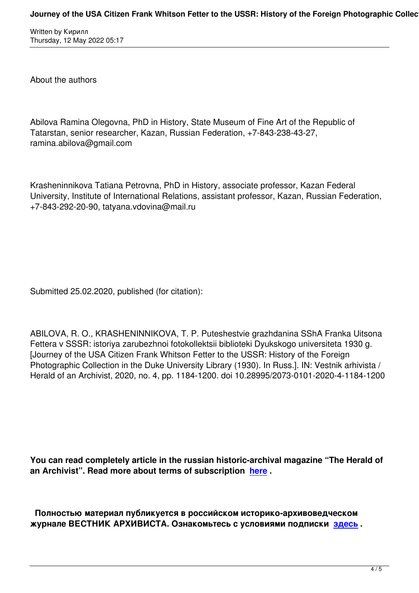About the authors

Written by Kirken by Kirken by Kirken by Kirken by Kirken by Kirken by Kirken by Kirken by Kirken by Kirken by

Abilova Ramina Olegovna, PhD in History, State Museum of Fine Art of the Republic of Tatarstan, senior researcher, Kazan, Russian Federation, +7-843-238-43-27, ramina.abilova@gmail.com

Krasheninnikova Tatiana Petrovna, PhD in History, associate professor, Kazan Federal University, Institute of International Relations, assistant professor, Kazan, Russian Federation, +7-843-292-20-90, tatyana.vdovina@mail.ru

Submitted 25.02.2020, published (for citation):

ABILOVA, R. O., KRASHENINNIKOVA, T. P. Puteshestvie grazhdanina SShA Franka Uitsona Fettera v SSSR: istoriya zarubezhnoi fotokollektsii biblioteki Dyukskogo universiteta 1930 g. [Journey of the USA Citizen Frank Whitson Fetter to the USSR: History of the Foreign Photographic Collection in the Duke University Library (1930). In Russ.]. IN: Vestnik arhivista / Herald of an Archivist, 2020, no. 4, pp. 1184-1200. doi 10.28995/2073-0101-2020-4-1184-1200

**You can read completely article in the russian historic-archival magazine "The Herald of an Archivist". Read more about terms of subscription here .** 

 **Полностью материал публикуется в российском и[стори](http://www.arhivemagazine.com/subscribe.html)ко-архивоведческом журнале ВЕСТНИК АРХИВИСТА. Ознакомьтесь с условиями подписки здесь .**